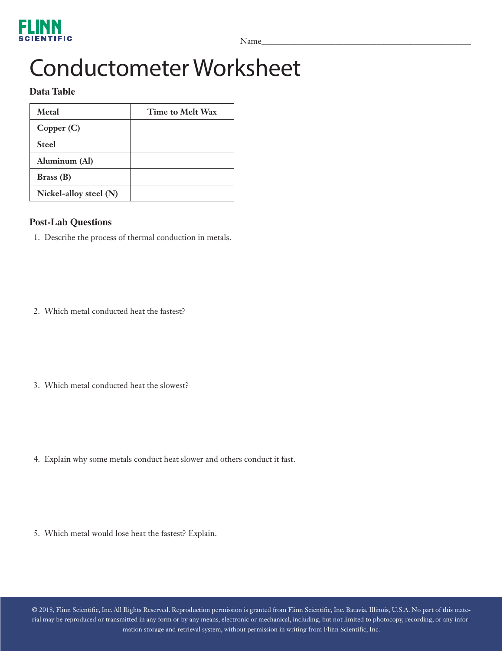Name\_\_\_\_\_\_\_\_\_\_\_\_\_\_\_\_\_\_\_\_\_\_\_\_\_\_\_\_\_\_\_\_\_\_\_\_\_\_\_\_\_\_\_\_\_\_\_\_\_\_\_

# Conductometer Worksheet

### **Data Table**

| Metal                  | Time to Melt Wax |
|------------------------|------------------|
| Copper (C)             |                  |
| <b>Steel</b>           |                  |
| Aluminum (Al)          |                  |
| Brass(B)               |                  |
| Nickel-alloy steel (N) |                  |

### **Post-Lab Questions**

- 1. Describe the process of thermal conduction in metals.
- 2. Which metal conducted heat the fastest?
- 3. Which metal conducted heat the slowest?
- 4. Explain why some metals conduct heat slower and others conduct it fast.
- 5. Which metal would lose heat the fastest? Explain.

© 2018, Flinn Scientific, Inc. All Rights Reserved. Reproduction permission is granted from Flinn Scientific, Inc. Batavia, Illinois, U.S.A. No part of this material may be reproduced or transmitted in any form or by any means, electronic or mechanical, including, but not limited to photocopy, recording, or any information storage and retrieval system, without permission in writing from Flinn Scientific, Inc.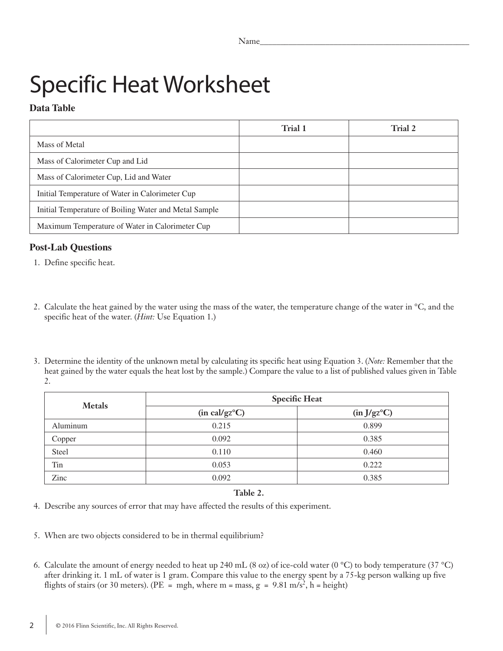# Specific Heat Worksheet

### **Data Table**

|                                                       | Trial 1 | Trial 2 |
|-------------------------------------------------------|---------|---------|
| Mass of Metal                                         |         |         |
| Mass of Calorimeter Cup and Lid                       |         |         |
| Mass of Calorimeter Cup, Lid and Water                |         |         |
| Initial Temperature of Water in Calorimeter Cup       |         |         |
| Initial Temperature of Boiling Water and Metal Sample |         |         |
| Maximum Temperature of Water in Calorimeter Cup       |         |         |

### **Post-Lab Questions**

- 1. Define specific heat.
- 2. Calculate the heat gained by the water using the mass of the water, the temperature change of the water in °C, and the specific heat of the water. (*Hint:* Use Equation 1.)
- 3. Determine the identity of the unknown metal by calculating its specific heat using Equation 3. (*Note:* Remember that the heat gained by the water equals the heat lost by the sample.) Compare the value to a list of published values given in Table 2.

| <b>Metals</b> | <b>Specific Heat</b>           |                          |  |  |  |  |  |
|---------------|--------------------------------|--------------------------|--|--|--|--|--|
|               | $(in \text{ cal/gz}^{\circ}C)$ | (in J/gz <sup>o</sup> C) |  |  |  |  |  |
| Aluminum      | 0.215                          | 0.899                    |  |  |  |  |  |
| Copper        | 0.092                          | 0.385                    |  |  |  |  |  |
| Steel         | 0.110                          | 0.460                    |  |  |  |  |  |
| Tin           | 0.053                          | 0.222                    |  |  |  |  |  |
| Zinc          | 0.092                          | 0.385                    |  |  |  |  |  |

#### **Table 2.**

- 4. Describe any sources of error that may have affected the results of this experiment.
- 5. When are two objects considered to be in thermal equilibrium?
- 6. Calculate the amount of energy needed to heat up 240 mL (8 oz) of ice-cold water (0 °C) to body temperature (37 °C) after drinking it. 1 mL of water is 1 gram. Compare this value to the energy spent by a 75-kg person walking up five flights of stairs (or 30 meters). (PE = mgh, where m = mass,  $g = 9.81$  m/s<sup>2</sup>, h = height)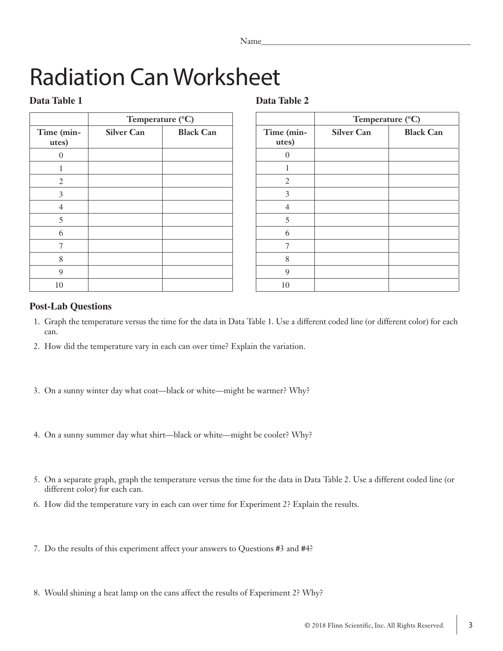| N<br>Jame<br>1 valite |  |
|-----------------------|--|
|                       |  |

# Radiation Can Worksheet

### **Data Table 1**

### **Data Table 2**

|                     | Temperature (°C)  |                  |  |  |  |  |  |  |  |
|---------------------|-------------------|------------------|--|--|--|--|--|--|--|
| Time (min-<br>utes) | <b>Silver Can</b> | <b>Black Can</b> |  |  |  |  |  |  |  |
| 0                   |                   |                  |  |  |  |  |  |  |  |
|                     |                   |                  |  |  |  |  |  |  |  |
| $\overline{2}$      |                   |                  |  |  |  |  |  |  |  |
| 3                   |                   |                  |  |  |  |  |  |  |  |
| $\overline{4}$      |                   |                  |  |  |  |  |  |  |  |
| 5                   |                   |                  |  |  |  |  |  |  |  |
| 6                   |                   |                  |  |  |  |  |  |  |  |
| 7                   |                   |                  |  |  |  |  |  |  |  |
| 8                   |                   |                  |  |  |  |  |  |  |  |
| 9                   |                   |                  |  |  |  |  |  |  |  |
| 10                  |                   |                  |  |  |  |  |  |  |  |

|                     | Temperature (°C)  |                  |  |  |  |  |  |  |  |
|---------------------|-------------------|------------------|--|--|--|--|--|--|--|
| Time (min-<br>utes) | <b>Silver Can</b> | <b>Black Can</b> |  |  |  |  |  |  |  |
| $\Omega$            |                   |                  |  |  |  |  |  |  |  |
| 1                   |                   |                  |  |  |  |  |  |  |  |
| 2                   |                   |                  |  |  |  |  |  |  |  |
| 3                   |                   |                  |  |  |  |  |  |  |  |
| $\overline{4}$      |                   |                  |  |  |  |  |  |  |  |
| 5                   |                   |                  |  |  |  |  |  |  |  |
| 6                   |                   |                  |  |  |  |  |  |  |  |
| 7                   |                   |                  |  |  |  |  |  |  |  |
| 8                   |                   |                  |  |  |  |  |  |  |  |
| 9                   |                   |                  |  |  |  |  |  |  |  |
| 10                  |                   |                  |  |  |  |  |  |  |  |

### **Post-Lab Questions**

- 1. Graph the temperature versus the time for the data in Data Table 1. Use a different coded line (or different color) for each can.
- 2. How did the temperature vary in each can over time? Explain the variation.
- 3. On a sunny winter day what coat—black or white—might be warmer? Why?
- 4. On a sunny summer day what shirt—black or white—might be cooler? Why?
- 5. On a separate graph, graph the temperature versus the time for the data in Data Table 2. Use a different coded line (or different color) for each can.
- 6. How did the temperature vary in each can over time for Experiment 2? Explain the results.
- 7. Do the results of this experiment affect your answers to Questions #3 and #4?
- 8. Would shining a heat lamp on the cans affect the results of Experiment 2? Why?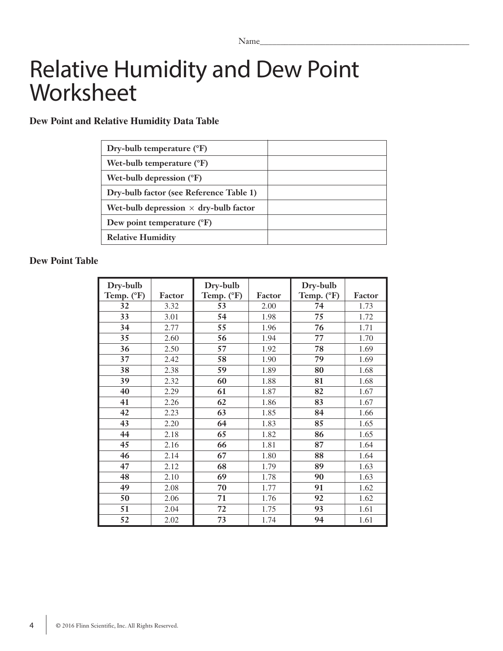### Relative Humidity and Dew Point Worksheet

### **Dew Point and Relative Humidity Data Table**

| Dry-bulb temperature $(^{\circ}F)$           |  |
|----------------------------------------------|--|
| Wet-bulb temperature $(^{\circ}F)$           |  |
| Wet-bulb depression $({}^{\circ}F)$          |  |
| Dry-bulb factor (see Reference Table 1)      |  |
| Wet-bulb depression $\times$ dry-bulb factor |  |
| Dew point temperature $(^{\circ}F)$          |  |
| <b>Relative Humidity</b>                     |  |

### **Dew Point Table**

| Dry-bulb   |        | Dry-bulb   |        | Dry-bulb   |        |
|------------|--------|------------|--------|------------|--------|
| Temp. (°F) | Factor | Temp. (°F) | Factor | Temp. (°F) | Factor |
| 32         | 3.32   | 53         | 2.00   | 74         | 1.73   |
| 33         | 3.01   | 54         | 1.98   | 75         | 1.72   |
| 34         | 2.77   | 55         | 1.96   | 76         | 1.71   |
| 35         | 2.60   | 56         | 1.94   | 77         | 1.70   |
| 36         | 2.50   | 57         | 1.92   | 78         | 1.69   |
| 37         | 2.42   | 58         | 1.90   | 79         | 1.69   |
| 38         | 2.38   | 59         | 1.89   | 80         | 1.68   |
| 39         | 2.32   | 60         | 1.88   | 81         | 1.68   |
| 40         | 2.29   | 61         | 1.87   | 82         | 1.67   |
| 41         | 2.26   | 62         | 1.86   | 83         | 1.67   |
| 42         | 2.23   | 63         | 1.85   | 84         | 1.66   |
| 43         | 2.20   | 64         | 1.83   | 85         | 1.65   |
| 44         | 2.18   | 65         | 1.82   | 86         | 1.65   |
| 45         | 2.16   | 66         | 1.81   | 87         | 1.64   |
| 46         | 2.14   | 67         | 1.80   | 88         | 1.64   |
| 47         | 2.12   | 68         | 1.79   | 89         | 1.63   |
| 48         | 2.10   | 69         | 1.78   | 90         | 1.63   |
| 49         | 2.08   | 70         | 1.77   | 91         | 1.62   |
| 50         | 2.06   | 71         | 1.76   | 92         | 1.62   |
| 51         | 2.04   | 72         | 1.75   | 93         | 1.61   |
| 52         | 2.02   | 73         | 1.74   | 94         | 1.61   |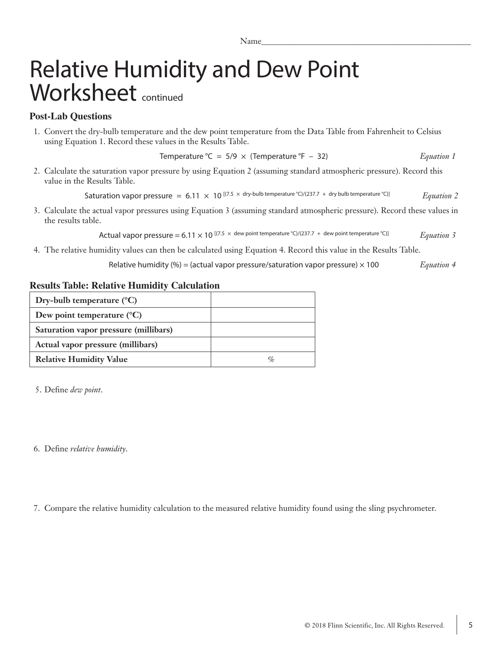## Relative Humidity and Dew Point Worksheet continued

### **Post-Lab Questions**

1. Convert the dry-bulb temperature and the dew point temperature from the Data Table from Fahrenheit to Celsius using Equation 1. Record these values in the Results Table.

```
Temperature °C = 5/9 × (Temperature °F – 32) Equation 1
```
2. Calculate the saturation vapor pressure by using Equation 2 (assuming standard atmospheric pressure). Record this value in the Results Table.

Saturation vapor pressure =  $6.11 \times 10^{[(7.5 \times dry-bulb \ttemperature °C)/(237.7 + dry bulb \ttemperature °C)]}$  *Equation 2* 

3. Calculate the actual vapor pressures using Equation 3 (assuming standard atmospheric pressure). Record these values in the results table.

Actual vapor pressure = 6.11  $\times$  10 <sup>[(7.5</sup>  $\times$  dew point temperature °C)/(237.7 + dew point temperature °C)] *Equation 3* 

4. The relative humidity values can then be calculated using Equation 4. Record this value in the Results Table.

Relative humidity (%) = (actual vapor pressure/saturation vapor pressure) × 100 *Equation 4*

### **Results Table: Relative Humidity Calculation**

| Dry-bulb temperature $(^{\circ}C)$    |                             |
|---------------------------------------|-----------------------------|
| Dew point temperature $(^{\circ}C)$   |                             |
| Saturation vapor pressure (millibars) |                             |
| Actual vapor pressure (millibars)     |                             |
| <b>Relative Humidity Value</b>        | $\mathcal{O}_{\mathcal{L}}$ |

5. Define *dew point*.

6. Define *relative humidity*.

7. Compare the relative humidity calculation to the measured relative humidity found using the sling psychrometer.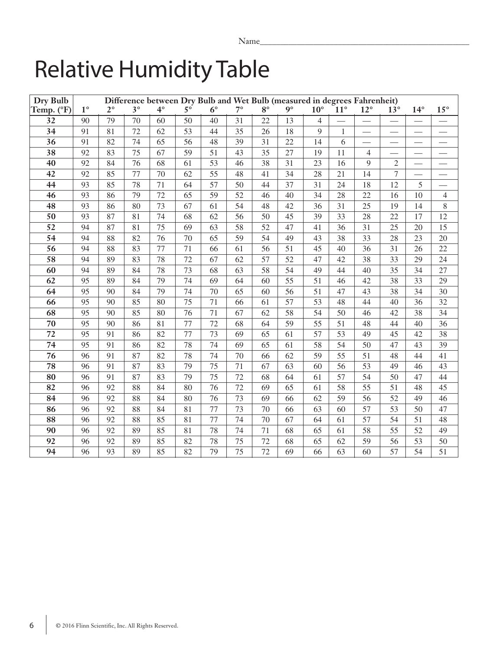# Relative Humidity Table

| Dry Bulb        | Difference between Dry Bulb and Wet Bulb (measured in degrees Fahrenheit) |                 |           |           |                 |             |                 |                 |                 |                |            |                          |                          |                               |                          |
|-----------------|---------------------------------------------------------------------------|-----------------|-----------|-----------|-----------------|-------------|-----------------|-----------------|-----------------|----------------|------------|--------------------------|--------------------------|-------------------------------|--------------------------|
| Temp. (°F)      | $1^{\circ}$                                                               | $2^{\circ}$     | $3^\circ$ | $4^\circ$ | $5^\circ$       | $6^{\circ}$ | $7^{\circ}$     | $8^{\circ}$     | $9^\circ$       | $10^{\circ}$   | $11^\circ$ | $12^{\circ}$             | $13^\circ$               | $14^{\circ}$                  | $15^{\circ}$             |
| $\overline{32}$ | 90                                                                        | $\overline{79}$ | 70        | 60        | 50              | 40          | $\overline{31}$ | $\overline{22}$ | $\overline{13}$ | $\overline{4}$ |            |                          | $\overline{\phantom{0}}$ |                               | $\overline{\phantom{0}}$ |
| 34              | 91                                                                        | 81              | 72        | 62        | 53              | 44          | 35              | 26              | 18              | 9              | 1          | $\overline{\phantom{0}}$ |                          | $\overbrace{\phantom{aaaaa}}$ | $\overline{\phantom{0}}$ |
| 36              | 91                                                                        | 82              | 74        | 65        | $\overline{56}$ | 48          | 39              | 31              | 22              | 14             | 6          |                          | $\overline{\phantom{0}}$ | $\overbrace{\phantom{12333}}$ | $\overline{\phantom{0}}$ |
| 38              | 92                                                                        | 83              | 75        | 67        | 59              | 51          | 43              | 35              | 27              | 19             | 11         | $\overline{4}$           | $\overline{\phantom{0}}$ |                               | $\overline{\phantom{0}}$ |
| 40              | 92                                                                        | 84              | 76        | 68        | 61              | 53          | 46              | 38              | 31              | 23             | 16         | 9                        | $\overline{2}$           |                               | $\overline{\phantom{0}}$ |
| 42              | 92                                                                        | 85              | 77        | 70        | 62              | 55          | 48              | 41              | 34              | 28             | 21         | 14                       | $\overline{7}$           |                               |                          |
| 44              | 93                                                                        | 85              | 78        | 71        | 64              | 57          | 50              | 44              | 37              | 31             | 24         | 18                       | 12                       | 5                             |                          |
| 46              | 93                                                                        | 86              | 79        | 72        | 65              | 59          | 52              | 46              | 40              | 34             | 28         | 22                       | 16                       | 10                            | $\overline{4}$           |
| 48              | 93                                                                        | 86              | 80        | 73        | 67              | 61          | 54              | 48              | 42              | 36             | 31         | 25                       | 19                       | 14                            | $\,$ 8 $\,$              |
| 50              | 93                                                                        | 87              | 81        | 74        | 68              | 62          | 56              | 50              | 45              | 39             | 33         | 28                       | 22                       | 17                            | 12                       |
| $\overline{52}$ | 94                                                                        | 87              | 81        | 75        | 69              | 63          | 58              | 52              | 47              | 41             | 36         | 31                       | 25                       | 20                            | 15                       |
| $\overline{54}$ | 94                                                                        | 88              | 82        | 76        | 70              | 65          | 59              | 54              | 49              | 43             | 38         | 33                       | 28                       | 23                            | 20                       |
| 56              | 94                                                                        | 88              | 83        | 77        | 71              | 66          | 61              | 56              | 51              | 45             | 40         | 36                       | 31                       | 26                            | 22                       |
| $\overline{58}$ | 94                                                                        | 89              | 83        | 78        | 72              | 67          | 62              | $\overline{57}$ | $\overline{52}$ | 47             | 42         | 38                       | 33                       | 29                            | 24                       |
| 60              | 94                                                                        | 89              | 84        | 78        | 73              | 68          | 63              | 58              | 54              | 49             | 44         | 40                       | 35                       | 34                            | 27                       |
| 62              | 95                                                                        | 89              | 84        | 79        | 74              | 69          | 64              | 60              | 55              | 51             | 46         | 42                       | 38                       | 33                            | 29                       |
| 64              | 95                                                                        | 90              | 84        | 79        | 74              | 70          | 65              | 60              | 56              | 51             | 47         | 43                       | 38                       | 34                            | 30                       |
| 66              | 95                                                                        | 90              | 85        | 80        | $\overline{75}$ | 71          | 66              | 61              | $\overline{57}$ | 53             | 48         | 44                       | 40                       | 36                            | 32                       |
| 68              | 95                                                                        | 90              | 85        | 80        | 76              | 71          | 67              | 62              | $\overline{58}$ | 54             | 50         | 46                       | 42                       | 38                            | 34                       |
| 70              | 95                                                                        | 90              | 86        | 81        | 77              | 72          | 68              | 64              | 59              | 55             | 51         | 48                       | 44                       | 40                            | 36                       |
| 72              | 95                                                                        | 91              | 86        | 82        | 77              | 73          | 69              | 65              | 61              | 57             | 53         | 49                       | 45                       | 42                            | 38                       |
| $\overline{74}$ | 95                                                                        | 91              | 86        | 82        | 78              | 74          | 69              | 65              | 61              | 58             | 54         | 50                       | 47                       | 43                            | 39                       |
| 76              | 96                                                                        | 91              | 87        | 82        | 78              | 74          | 70              | 66              | 62              | 59             | 55         | 51                       | 48                       | 44                            | 41                       |
| 78              | 96                                                                        | 91              | 87        | 83        | 79              | 75          | 71              | 67              | 63              | 60             | 56         | 53                       | 49                       | 46                            | 43                       |
| 80              | 96                                                                        | 91              | 87        | 83        | 79              | 75          | 72              | 68              | 64              | 61             | 57         | 54                       | 50                       | 47                            | 44                       |
| 82              | 96                                                                        | 92              | 88        | 84        | 80              | 76          | 72              | 69              | 65              | 61             | 58         | 55                       | 51                       | 48                            | 45                       |
| 84              | 96                                                                        | 92              | 88        | 84        | 80              | 76          | 73              | 69              | 66              | 62             | 59         | 56                       | 52                       | 49                            | 46                       |
| 86              | 96                                                                        | 92              | 88        | 84        | 81              | 77          | 73              | 70              | 66              | 63             | 60         | 57                       | 53                       | 50                            | 47                       |
| 88              | 96                                                                        | 92              | 88        | 85        | 81              | 77          | 74              | 70              | 67              | 64             | 61         | 57                       | 54                       | 51                            | 48                       |
| 90              | 96                                                                        | 92              | 89        | 85        | 81              | 78          | 74              | 71              | 68              | 65             | 61         | 58                       | 55                       | 52                            | 49                       |
| 92              | 96                                                                        | 92              | 89        | 85        | 82              | 78          | 75              | 72              | 68              | 65             | 62         | 59                       | 56                       | 53                            | 50                       |
| 94              | 96                                                                        | 93              | 89        | 85        | 82              | 79          | 75              | 72              | 69              | 66             | 63         | 60                       | 57                       | 54                            | 51                       |